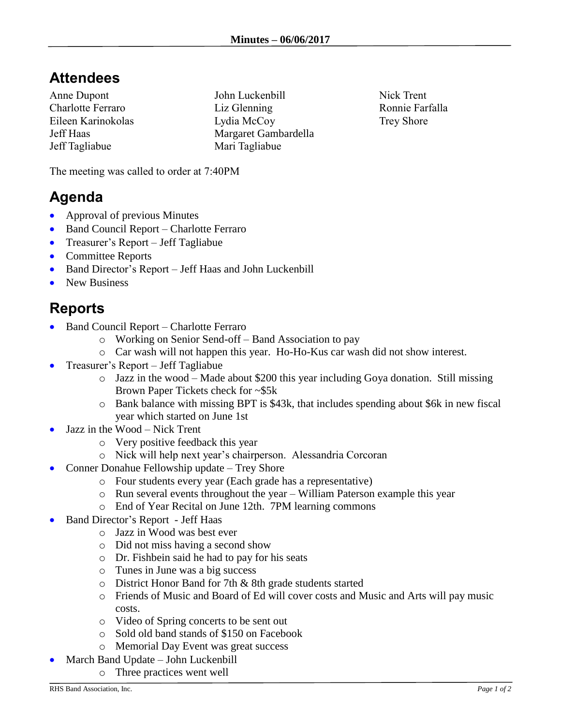## **Attendees**

Anne Dupont Charlotte Ferraro Eileen Karinokolas Jeff Haas Jeff Tagliabue

John Luckenbill Liz Glenning Lydia McCoy Margaret Gambardella Mari Tagliabue

Nick Trent Ronnie Farfalla Trey Shore

The meeting was called to order at 7:40PM

## **Agenda**

- Approval of previous Minutes
- Band Council Report Charlotte Ferraro
- Treasurer's Report Jeff Tagliabue
- Committee Reports
- Band Director's Report Jeff Haas and John Luckenbill
- New Business

## **Reports**

- Band Council Report Charlotte Ferraro
	- o Working on Senior Send-off Band Association to pay
	- o Car wash will not happen this year. Ho-Ho-Kus car wash did not show interest.
- Treasurer's Report Jeff Tagliabue
	- o Jazz in the wood Made about \$200 this year including Goya donation. Still missing Brown Paper Tickets check for ~\$5k
	- o Bank balance with missing BPT is \$43k, that includes spending about \$6k in new fiscal year which started on June 1st
- Jazz in the Wood Nick Trent
	- o Very positive feedback this year
	- o Nick will help next year's chairperson. Alessandria Corcoran
- Conner Donahue Fellowship update Trey Shore
	- o Four students every year (Each grade has a representative)
	- o Run several events throughout the year William Paterson example this year
	- o End of Year Recital on June 12th. 7PM learning commons
- Band Director's Report Jeff Haas
	- o Jazz in Wood was best ever
	- o Did not miss having a second show
	- o Dr. Fishbein said he had to pay for his seats
	- o Tunes in June was a big success
	- o District Honor Band for 7th & 8th grade students started
	- o Friends of Music and Board of Ed will cover costs and Music and Arts will pay music costs.
	- o Video of Spring concerts to be sent out
	- o Sold old band stands of \$150 on Facebook
	- o Memorial Day Event was great success
- March Band Update John Luckenbill
	- o Three practices went well